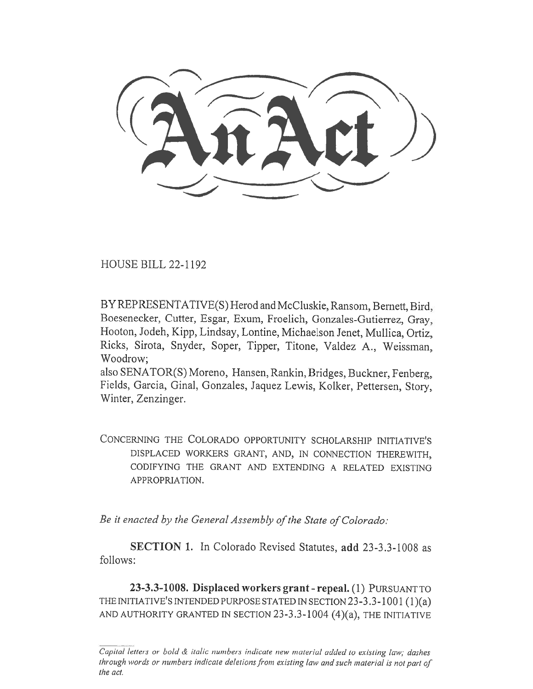HOUSE BILL 22-1192

BY REPRESENTATIVE(S) Herod and McCluskie, Ransom, Bernett, Bird, Boesenecker, Cutter, Esgar, Exum, Froelich, Gonzales-Gutierrez, Gray, Hooton, Jodeh, Kipp, Lindsay, Lontine, Michaelson Jenet, Mullica, Ortiz, Ricks, Sirota, Snyder, Soper, Tipper, Titone, Valdez A., Weissman, Woodrow;

also SENATOR(S) Moreno, Hansen, Rankin, Bridges, Buckner, Fenberg, Fields, Garcia, Ginal, Gonzales, Jaquez Lewis, Kolker, Pettersen, Story, Winter, Zenzinger.

CONCERNING THE COLORADO OPPORTUNITY SCHOLARSHIP INITIATIVE'S DISPLACED WORKERS GRANT, AND, IN CONNECTION THEREWITH, CODIFYING THE GRANT AND EXTENDING A RELATED EXISTING APPROPRIATION.

Be it enacted by the General Assembly of the State of Colorado:

SECTION 1. In Colorado Revised Statutes, add 23-3.3-1008 as follows:

23-3.3-1008. Displaced workers grant - repeal. (1) PURSUANT TO THE INITIATIVE'S INTENDED PURPOSE STATED IN SECTION  $23-3.3-1001(1)(a)$ AND AUTHORITY GRANTED IN SECTION 23-3.3-1004 (4)(a), THE INITIATIVE

Capital letters or bold & italic numbers indicate new material added to existing law; dashes through words or numbers indicate deletions from existing law and such material is not part of the act.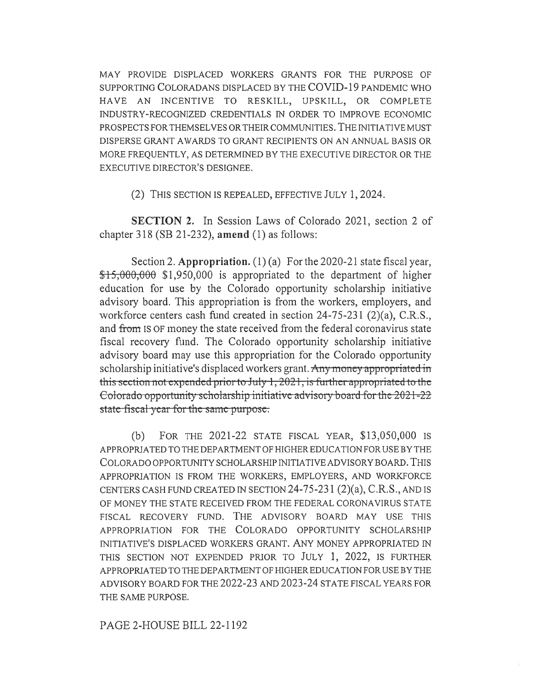MAY PROVIDE DISPLACED WORKERS GRANTS FOR THE PURPOSE OF SUPPORTING COLORADANS DISPLACED BY THE COVID-19 PANDEMIC WHO HAVE AN INCENTIVE TO RESKILL, UPSKILL, OR COMPLETE INDUSTRY-RECOGNIZED CREDENTIALS IN ORDER TO IMPROVE ECONOMIC PROSPECTS FOR THEMSELVES OR THEIR COMMUNITIES. THE INITIATIVE MUST DISPERSE GRANT AWARDS TO GRANT RECIPIENTS ON AN ANNUAL BASIS OR MORE FREQUENTLY, AS DETERMINED BY THE EXECUTIVE DIRECTOR OR THE EXECUTIVE DIRECTOR'S DESIGNEE.

(2) THIS SECTION IS REPEALED, EFFECTIVE JULY 1, 2024.

SECTION 2. In Session Laws of Colorado 2021, section 2 of chapter 318 (SB 21-232), amend (1) as follows:

Section 2. Appropriation. (1) (a) For the 2020-21 state fiscal year,  $\textcolor{blue}{\textbf{15,000,000}}$  \$1,950,000 is appropriated to the department of higher education for use by the Colorado opportunity scholarship initiative advisory board. This appropriation is from the workers, employers, and workforce centers cash fund created in section 24-75-231 (2)(a), C.R.S., and from IS OF money the state received from the federal coronavirus state fiscal recovery fund. The Colorado opportunity scholarship initiative advisory board may use this appropriation for the Colorado opportunity scholarship initiative's displaced workers grant. Any money appropriated in this scction not cxpcndcd prior to July 1, 2021, is furthcr appropriated to the  $\frac{1}{2}$ -Colorado opportunity scholarship-initiative-advisory board for the 2021-22 state fiscal year for the same purpose.

(b) FOR THE 2021-22 STATE FISCAL YEAR, \$13,050,000 IS APPROPRIATED TO THE DEPARTMENT OF HIGHER EDUCATION FOR USE BY THE COLORADO OPPORTUNITY SCHOLARSHIP INITIATIVE ADVISORY BOARD. THIS APPROPRIATION IS FROM THE WORKERS, EMPLOYERS, AND WORKFORCE CENTERS CASH FUND CREATED IN SECTION 24-75-231 (2)(a), C.R.S., AND IS OF MONEY THE STATE RECEIVED FROM THE FEDERAL CORONA VIRUS STATE FISCAL RECOVERY FUND. THE ADVISORY BOARD MAY USE THIS APPROPRIATION FOR THE COLORADO OPPORTUNITY SCHOLARSHIP INITIATIVE'S DISPLACED WORKERS GRANT. ANY MONEY APPROPRIATED IN THIS SECTION NOT EXPENDED PRIOR TO JULY 1, 2022, IS FURTHER APPROPRIATED TO THE DEPARTMENT OF HIGHER EDUCATION FOR USE BY THE ADVISORY BOARD FOR THE 2022-23 AND 2023-24 STATE FISCAL YEARS FOR THE SAME PURPOSE.

PAGE 2-HOUSE BILL 22-1192